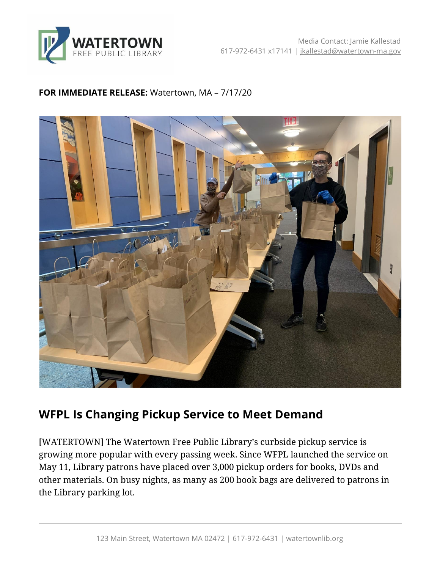

## **FOR IMMEDIATE RELEASE:** Watertown, MA – 7/17/20



## **WFPL Is Changing Pickup Service to Meet Demand**

[WATERTOWN] The Watertown Free Public Library's curbside pickup service is growing more popular with every passing week. Since WFPL launched the service on May 11, Library patrons have placed over 3,000 pickup orders for books, DVDs and other materials. On busy nights, as many as 200 book bags are delivered to patrons in the Library parking lot.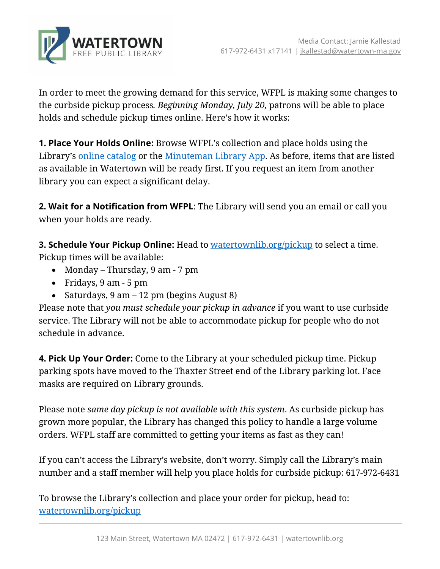

In order to meet the growing demand for this service, WFPL is making some changes to the curbside pickup process*. Beginning Monday, July 20,* patrons will be able to place holds and schedule pickup times online. Here's how it works:

**1. Place Your Holds Online:** Browse WFPL's collection and place holds using the Library's [online catalog](http://find.minlib.net/iii/encore/home?lang=eng) or the [Minuteman Library App.](https://www.minlib.net/services#mln-app) As before, items that are listed as available in Watertown will be ready first. If you request an item from another library you can expect a significant delay.

**2. Wait for a Notification from WFPL**: The Library will send you an email or call you when your holds are ready.

**3. Schedule Your Pickup Online:** Head to [watertownlib.org/pickup](https://www.watertownlib.org/pickup) to select a time. Pickup times will be available:

- Monday Thursday, 9 am 7 pm
- Fridays, 9 am 5 pm
- Saturdays, 9 am 12 pm (begins August 8)

Please note that *you must schedule your pickup in advance* if you want to use curbside service. The Library will not be able to accommodate pickup for people who do not schedule in advance.

**4. Pick Up Your Order:** Come to the Library at your scheduled pickup time. Pickup parking spots have moved to the Thaxter Street end of the Library parking lot. Face masks are required on Library grounds.

Please note *same day pickup is not available with this system*. As curbside pickup has grown more popular, the Library has changed this policy to handle a large volume orders. WFPL staff are committed to getting your items as fast as they can!

If you can't access the Library's website, don't worry. Simply call the Library's main number and a staff member will help you place holds for curbside pickup: 617-972-6431

To browse the Library's collection and place your order for pickup, head to: [watertownlib.org/pickup](https://www.watertownlib.org/pickup)